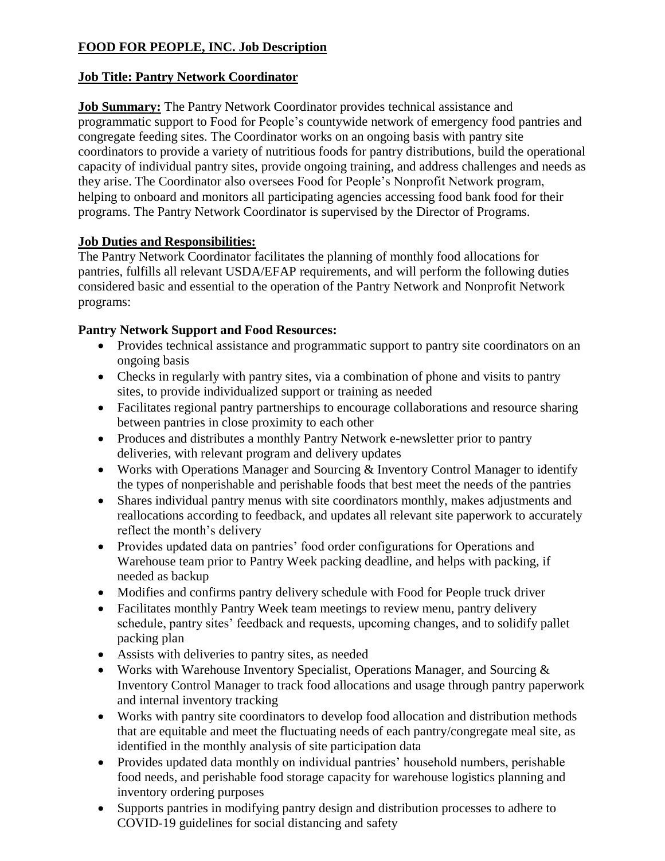# **FOOD FOR PEOPLE, INC. Job Description**

#### **Job Title: Pantry Network Coordinator**

**Job Summary:** The Pantry Network Coordinator provides technical assistance and programmatic support to Food for People's countywide network of emergency food pantries and congregate feeding sites. The Coordinator works on an ongoing basis with pantry site coordinators to provide a variety of nutritious foods for pantry distributions, build the operational capacity of individual pantry sites, provide ongoing training, and address challenges and needs as they arise. The Coordinator also oversees Food for People's Nonprofit Network program, helping to onboard and monitors all participating agencies accessing food bank food for their programs. The Pantry Network Coordinator is supervised by the Director of Programs.

#### **Job Duties and Responsibilities:**

The Pantry Network Coordinator facilitates the planning of monthly food allocations for pantries, fulfills all relevant USDA/EFAP requirements, and will perform the following duties considered basic and essential to the operation of the Pantry Network and Nonprofit Network programs:

#### **Pantry Network Support and Food Resources:**

- Provides technical assistance and programmatic support to pantry site coordinators on an ongoing basis
- Checks in regularly with pantry sites, via a combination of phone and visits to pantry sites, to provide individualized support or training as needed
- Facilitates regional pantry partnerships to encourage collaborations and resource sharing between pantries in close proximity to each other
- Produces and distributes a monthly Pantry Network e-newsletter prior to pantry deliveries, with relevant program and delivery updates
- Works with Operations Manager and Sourcing & Inventory Control Manager to identify the types of nonperishable and perishable foods that best meet the needs of the pantries
- Shares individual pantry menus with site coordinators monthly, makes adjustments and reallocations according to feedback, and updates all relevant site paperwork to accurately reflect the month's delivery
- Provides updated data on pantries' food order configurations for Operations and Warehouse team prior to Pantry Week packing deadline, and helps with packing, if needed as backup
- Modifies and confirms pantry delivery schedule with Food for People truck driver
- Facilitates monthly Pantry Week team meetings to review menu, pantry delivery schedule, pantry sites' feedback and requests, upcoming changes, and to solidify pallet packing plan
- Assists with deliveries to pantry sites, as needed
- Works with Warehouse Inventory Specialist, Operations Manager, and Sourcing & Inventory Control Manager to track food allocations and usage through pantry paperwork and internal inventory tracking
- Works with pantry site coordinators to develop food allocation and distribution methods that are equitable and meet the fluctuating needs of each pantry/congregate meal site, as identified in the monthly analysis of site participation data
- Provides updated data monthly on individual pantries' household numbers, perishable food needs, and perishable food storage capacity for warehouse logistics planning and inventory ordering purposes
- Supports pantries in modifying pantry design and distribution processes to adhere to COVID-19 guidelines for social distancing and safety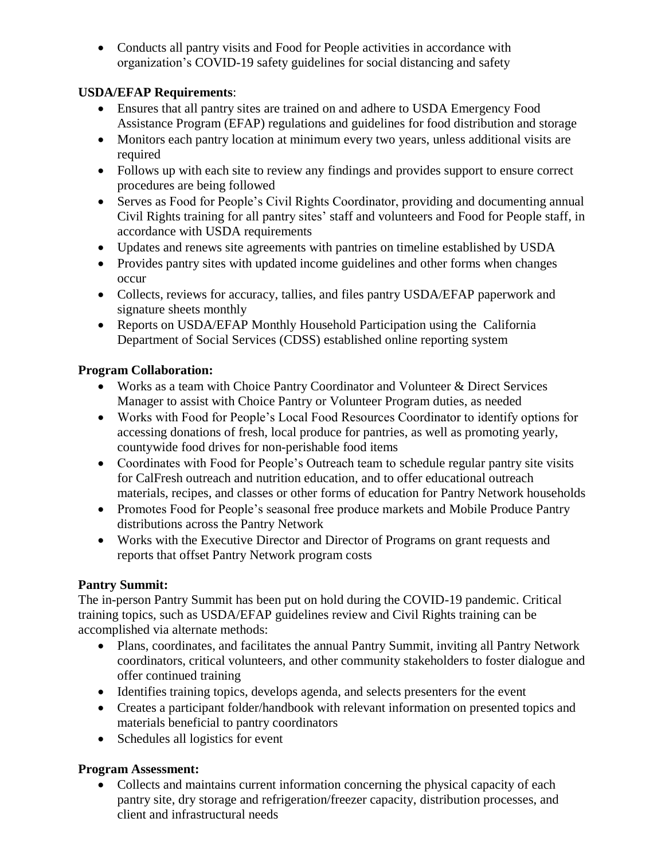• Conducts all pantry visits and Food for People activities in accordance with organization's COVID-19 safety guidelines for social distancing and safety

### **USDA/EFAP Requirements**:

- Ensures that all pantry sites are trained on and adhere to USDA Emergency Food Assistance Program (EFAP) regulations and guidelines for food distribution and storage
- Monitors each pantry location at minimum every two years, unless additional visits are required
- Follows up with each site to review any findings and provides support to ensure correct procedures are being followed
- Serves as Food for People's Civil Rights Coordinator, providing and documenting annual Civil Rights training for all pantry sites' staff and volunteers and Food for People staff, in accordance with USDA requirements
- Updates and renews site agreements with pantries on timeline established by USDA
- Provides pantry sites with updated income guidelines and other forms when changes occur
- Collects, reviews for accuracy, tallies, and files pantry USDA/EFAP paperwork and signature sheets monthly
- Reports on USDA/EFAP Monthly Household Participation using the California Department of Social Services (CDSS) established online reporting system

## **Program Collaboration:**

- Works as a team with Choice Pantry Coordinator and Volunteer & Direct Services Manager to assist with Choice Pantry or Volunteer Program duties, as needed
- Works with Food for People's Local Food Resources Coordinator to identify options for accessing donations of fresh, local produce for pantries, as well as promoting yearly, countywide food drives for non-perishable food items
- Coordinates with Food for People's Outreach team to schedule regular pantry site visits for CalFresh outreach and nutrition education, and to offer educational outreach materials, recipes, and classes or other forms of education for Pantry Network households
- Promotes Food for People's seasonal free produce markets and Mobile Produce Pantry distributions across the Pantry Network
- Works with the Executive Director and Director of Programs on grant requests and reports that offset Pantry Network program costs

# **Pantry Summit:**

The in-person Pantry Summit has been put on hold during the COVID-19 pandemic. Critical training topics, such as USDA/EFAP guidelines review and Civil Rights training can be accomplished via alternate methods:

- Plans, coordinates, and facilitates the annual Pantry Summit, inviting all Pantry Network coordinators, critical volunteers, and other community stakeholders to foster dialogue and offer continued training
- Identifies training topics, develops agenda, and selects presenters for the event
- Creates a participant folder/handbook with relevant information on presented topics and materials beneficial to pantry coordinators
- Schedules all logistics for event

# **Program Assessment:**

• Collects and maintains current information concerning the physical capacity of each pantry site, dry storage and refrigeration/freezer capacity, distribution processes, and client and infrastructural needs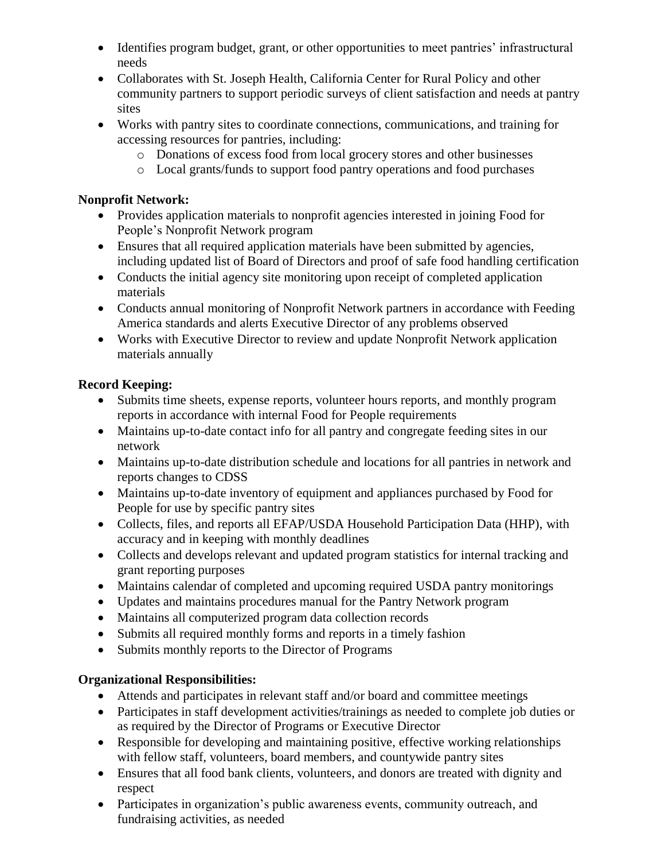- Identifies program budget, grant, or other opportunities to meet pantries' infrastructural needs
- Collaborates with St. Joseph Health, California Center for Rural Policy and other community partners to support periodic surveys of client satisfaction and needs at pantry sites
- Works with pantry sites to coordinate connections, communications, and training for accessing resources for pantries, including:
	- o Donations of excess food from local grocery stores and other businesses
	- o Local grants/funds to support food pantry operations and food purchases

### **Nonprofit Network:**

- Provides application materials to nonprofit agencies interested in joining Food for People's Nonprofit Network program
- Ensures that all required application materials have been submitted by agencies, including updated list of Board of Directors and proof of safe food handling certification
- Conducts the initial agency site monitoring upon receipt of completed application materials
- Conducts annual monitoring of Nonprofit Network partners in accordance with Feeding America standards and alerts Executive Director of any problems observed
- Works with Executive Director to review and update Nonprofit Network application materials annually

### **Record Keeping:**

- Submits time sheets, expense reports, volunteer hours reports, and monthly program reports in accordance with internal Food for People requirements
- Maintains up-to-date contact info for all pantry and congregate feeding sites in our network
- Maintains up-to-date distribution schedule and locations for all pantries in network and reports changes to CDSS
- Maintains up-to-date inventory of equipment and appliances purchased by Food for People for use by specific pantry sites
- Collects, files, and reports all EFAP/USDA Household Participation Data (HHP), with accuracy and in keeping with monthly deadlines
- Collects and develops relevant and updated program statistics for internal tracking and grant reporting purposes
- Maintains calendar of completed and upcoming required USDA pantry monitorings
- Updates and maintains procedures manual for the Pantry Network program
- Maintains all computerized program data collection records
- Submits all required monthly forms and reports in a timely fashion
- Submits monthly reports to the Director of Programs

# **Organizational Responsibilities:**

- Attends and participates in relevant staff and/or board and committee meetings
- Participates in staff development activities/trainings as needed to complete job duties or as required by the Director of Programs or Executive Director
- Responsible for developing and maintaining positive, effective working relationships with fellow staff, volunteers, board members, and countywide pantry sites
- Ensures that all food bank clients, volunteers, and donors are treated with dignity and respect
- Participates in organization's public awareness events, community outreach, and fundraising activities, as needed